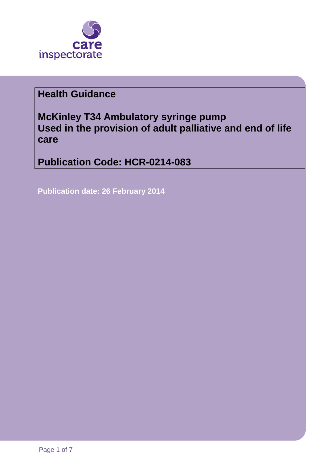

# **Health Guidance**

**McKinley T34 Ambulatory syringe pump Used in the provision of adult palliative and end of life care**

**Publication Code: HCR-0214-083**

**Publication date: 26 February 2014**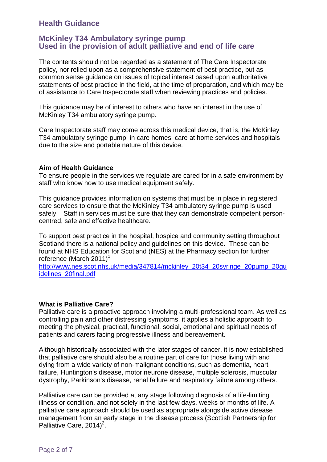# **Health Guidance**

## **McKinley T34 Ambulatory syringe pump Used in the provision of adult palliative and end of life care**

The contents should not be regarded as a statement of The Care Inspectorate policy, nor relied upon as a comprehensive statement of best practice, but as common sense guidance on issues of topical interest based upon authoritative statements of best practice in the field, at the time of preparation, and which may be of assistance to Care Inspectorate staff when reviewing practices and policies.

This guidance may be of interest to others who have an interest in the use of McKinley T34 ambulatory syringe pump.

Care Inspectorate staff may come across this medical device, that is, the McKinley T34 ambulatory syringe pump, in care homes, care at home services and hospitals due to the size and portable nature of this device.

#### **Aim of Health Guidance**

To ensure people in the services we regulate are cared for in a safe environment by staff who know how to use medical equipment safely.

This guidance provides information on systems that must be in place in registered care services to ensure that the McKinley T34 ambulatory syringe pump is used safely. Staff in services must be sure that they can demonstrate competent personcentred, safe and effective healthcare.

To support best practice in the hospital, hospice and community setting throughout Scotland there is a national policy and guidelines on this device. These can be found at NHS Education for Scotland (NES) at the Pharmacy section for further reference (March 2011)<sup>1</sup>

[http://www.nes.scot.nhs.uk/media/347814/mckinley\\_20t34\\_20syringe\\_20pump\\_20gu](http://www.nes.scot.nhs.uk/media/347814/mckinley_20t34_20syringe_20pump_20guidelines_20final.pdf) [idelines\\_20final.pdf](http://www.nes.scot.nhs.uk/media/347814/mckinley_20t34_20syringe_20pump_20guidelines_20final.pdf)

## **What is Palliative Care?**

Palliative care is a proactive approach involving a multi-professional team. As well as controlling pain and other distressing symptoms, it applies a holistic approach to meeting the physical, practical, functional, social, emotional and spiritual needs of patients and carers facing progressive illness and bereavement.

Although historically associated with the later stages of cancer, it is now established that palliative care should also be a routine part of care for those living with and dying from a wide variety of non-malignant conditions, such as dementia, heart failure, Huntington's disease, motor neurone disease, multiple sclerosis, muscular dystrophy, Parkinson's disease, renal failure and respiratory failure among others.

Palliative care can be provided at any stage following diagnosis of a life-limiting illness or condition, and not solely in the last few days, weeks or months of life. A palliative care approach should be used as appropriate alongside active disease management from an early stage in the disease process (Scottish Partnership for Palliative Care,  $2014)^2$ .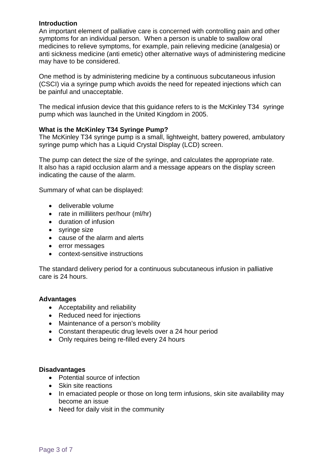## **Introduction**

An important element of palliative care is concerned with controlling pain and other symptoms for an individual person. When a person is unable to swallow oral medicines to relieve symptoms, for example, pain relieving medicine (analgesia) or anti sickness medicine (anti emetic) other alternative ways of administering medicine may have to be considered.

One method is by administering medicine by a continuous subcutaneous infusion (CSCI) via a syringe pump which avoids the need for repeated injections which can be painful and unacceptable.

The medical infusion device that this guidance refers to is the McKinley T34 syringe pump which was launched in the United Kingdom in 2005.

## **What is the McKinley T34 Syringe Pump?**

The McKinley T34 syringe pump is a small, lightweight, battery powered, ambulatory syringe pump which has a Liquid Crystal Display (LCD) screen.

The pump can detect the size of the syringe, and calculates the appropriate rate. It also has a rapid occlusion alarm and a message appears on the display screen indicating the cause of the alarm.

Summary of what can be displayed:

- deliverable volume
- rate in milliliters per/hour (ml/hr)
- duration of infusion
- syringe size
- cause of the alarm and alerts
- error messages
- context-sensitive instructions

The standard delivery period for a continuous subcutaneous infusion in palliative care is 24 hours.

## **Advantages**

- Acceptability and reliability
- Reduced need for injections
- Maintenance of a person's mobility
- Constant therapeutic drug levels over a 24 hour period
- Only requires being re-filled every 24 hours

## **Disadvantages**

- Potential source of infection
- Skin site reactions
- In emaciated people or those on long term infusions, skin site availability may become an issue
- Need for daily visit in the community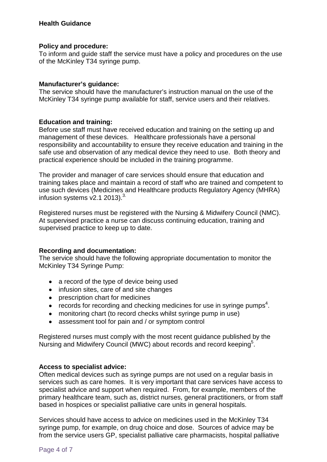## **Health Guidance**

#### **Policy and procedure:**

To inform and guide staff the service must have a policy and procedures on the use of the McKinley T34 syringe pump.

## **Manufacturer's guidance:**

The service should have the manufacturer's instruction manual on the use of the McKinley T34 syringe pump available for staff, service users and their relatives.

#### **Education and training:**

Before use staff must have received education and training on the setting up and management of these devices. Healthcare professionals have a personal responsibility and accountability to ensure they receive education and training in the safe use and observation of any medical device they need to use. Both theory and practical experience should be included in the training programme.

The provider and manager of care services should ensure that education and training takes place and maintain a record of staff who are trained and competent to use such devices (Medicines and Healthcare products Regulatory Agency (MHRA) infusion systems  $v2.1$  2013).<sup>3.</sup>

Registered nurses must be registered with the Nursing & Midwifery Council (NMC). At supervised practice a nurse can discuss continuing education, training and supervised practice to keep up to date.

#### **Recording and documentation:**

The service should have the following appropriate documentation to monitor the McKinley T34 Syringe Pump:

- a record of the type of device being used
- infusion sites, care of and site changes
- prescription chart for medicines
- $\bullet$  records for recording and checking medicines for use in syringe pumps<sup>4</sup>.
- monitoring chart (to record checks whilst syringe pump in use)
- assessment tool for pain and / or symptom control

Registered nurses must comply with the most recent guidance published by the Nursing and Midwifery Council (MWC) about records and record keeping<sup>5</sup>.

## **Access to specialist advice:**

Often medical devices such as syringe pumps are not used on a regular basis in services such as care homes. It is very important that care services have access to specialist advice and support when required. From, for example, members of the primary healthcare team, such as, district nurses, general practitioners, or from staff based in hospices or specialist palliative care units in general hospitals.

Services should have access to advice on medicines used in the McKinley T34 syringe pump, for example, on drug choice and dose. Sources of advice may be from the service users GP, specialist palliative care pharmacists, hospital palliative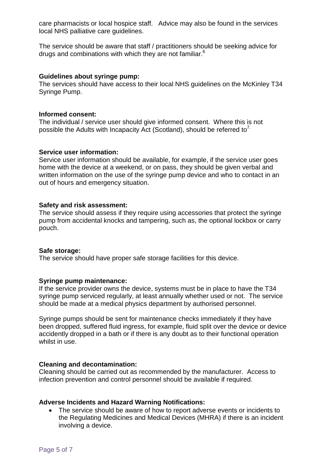care pharmacists or local hospice staff. Advice may also be found in the services local NHS palliative care guidelines.

The service should be aware that staff / practitioners should be seeking advice for drugs and combinations with which they are not familiar. $6$ 

## **Guidelines about syringe pump:**

The services should have access to their local NHS guidelines on the McKinley T34 Syringe Pump.

#### **Informed consent:**

The individual / service user should give informed consent. Where this is not possible the Adults with Incapacity Act (Scotland), should be referred to<sup>7.</sup>

#### **Service user information:**

Service user information should be available, for example, if the service user goes home with the device at a weekend, or on pass, they should be given verbal and written information on the use of the syringe pump device and who to contact in an out of hours and emergency situation.

#### **Safety and risk assessment:**

The service should assess if they require using accessories that protect the syringe pump from accidental knocks and tampering, such as, the optional lockbox or carry pouch.

#### **Safe storage:**

The service should have proper safe storage facilities for this device.

#### **Syringe pump maintenance:**

If the service provider owns the device, systems must be in place to have the T34 syringe pump serviced regularly, at least annually whether used or not. The service should be made at a medical physics department by authorised personnel.

Syringe pumps should be sent for maintenance checks immediately if they have been dropped, suffered fluid ingress, for example, fluid split over the device or device accidently dropped in a bath or if there is any doubt as to their functional operation whilst in use.

#### **Cleaning and decontamination:**

Cleaning should be carried out as recommended by the manufacturer. Access to infection prevention and control personnel should be available if required.

#### **Adverse Incidents and Hazard Warning Notifications:**

• The service should be aware of how to report adverse events or incidents to the Regulating Medicines and Medical Devices (MHRA) if there is an incident involving a device.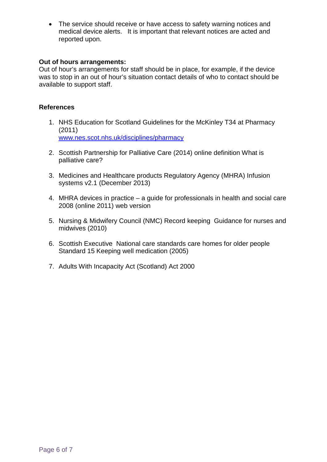• The service should receive or have access to safety warning notices and medical device alerts. It is important that relevant notices are acted and reported upon.

## **Out of hours arrangements:**

Out of hour's arrangements for staff should be in place, for example, if the device was to stop in an out of hour's situation contact details of who to contact should be available to support staff.

## **References**

- 1. NHS Education for Scotland Guidelines for the McKinley T34 at Pharmacy (2011) [www.nes.scot.nhs.uk/disciplines/pharmacy](http://www.nes.scot.nhs.uk/disciplines/pharmacy)
- 2. Scottish Partnership for Palliative Care (2014) online definition What is palliative care?
- 3. Medicines and Healthcare products Regulatory Agency (MHRA) Infusion systems v2.1 (December 2013)
- 4. MHRA devices in practice a guide for professionals in health and social care 2008 (online 2011) web version
- 5. Nursing & Midwifery Council (NMC) Record keeping Guidance for nurses and midwives (2010)
- 6. Scottish Executive National care standards care homes for older people Standard 15 Keeping well medication (2005)
- 7. Adults With Incapacity Act (Scotland) Act 2000